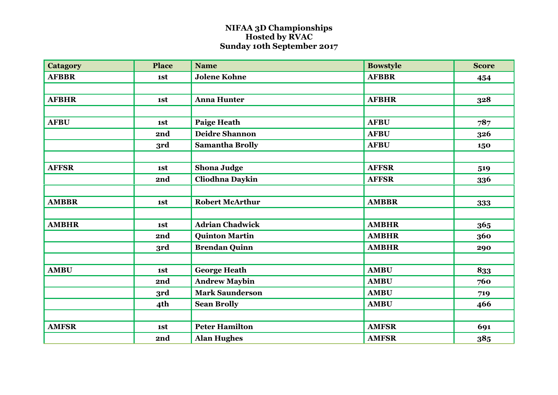## **NIFAA 3D Championships Hosted by RVAC Sunday 10th September 2017**

| <b>Catagory</b> | <b>Place</b> | <b>Name</b>            | <b>Bowstyle</b> | <b>Score</b> |
|-----------------|--------------|------------------------|-----------------|--------------|
| <b>AFBBR</b>    | 1st          | <b>Jolene Kohne</b>    | <b>AFBBR</b>    | 454          |
|                 |              |                        |                 |              |
| <b>AFBHR</b>    | 1st          | <b>Anna Hunter</b>     | <b>AFBHR</b>    | 328          |
|                 |              |                        |                 |              |
| <b>AFBU</b>     | 1st          | <b>Paige Heath</b>     | <b>AFBU</b>     | 787          |
|                 | 2nd          | <b>Deidre Shannon</b>  | <b>AFBU</b>     | 326          |
|                 | 3rd          | <b>Samantha Brolly</b> | <b>AFBU</b>     | 150          |
|                 |              |                        |                 |              |
| <b>AFFSR</b>    | 1st          | <b>Shona Judge</b>     | <b>AFFSR</b>    | 519          |
|                 | 2nd          | Cliodhna Daykin        | <b>AFFSR</b>    | 336          |
|                 |              |                        |                 |              |
| <b>AMBBR</b>    | 1st          | <b>Robert McArthur</b> | <b>AMBBR</b>    | 333          |
|                 |              |                        |                 |              |
| <b>AMBHR</b>    | 1st          | <b>Adrian Chadwick</b> | <b>AMBHR</b>    | 365          |
|                 | 2nd          | <b>Quinton Martin</b>  | <b>AMBHR</b>    | 360          |
|                 | 3rd          | <b>Brendan Quinn</b>   | <b>AMBHR</b>    | 290          |
|                 |              |                        |                 |              |
| <b>AMBU</b>     | 1st          | <b>George Heath</b>    | <b>AMBU</b>     | 833          |
|                 | 2nd          | <b>Andrew Maybin</b>   | <b>AMBU</b>     | 760          |
|                 | 3rd          | <b>Mark Saunderson</b> | <b>AMBU</b>     | 719          |
|                 | 4th          | <b>Sean Brolly</b>     | <b>AMBU</b>     | 466          |
|                 |              |                        |                 |              |
| <b>AMFSR</b>    | 1st          | <b>Peter Hamilton</b>  | <b>AMFSR</b>    | 691          |
|                 | 2nd          | <b>Alan Hughes</b>     | <b>AMFSR</b>    | 385          |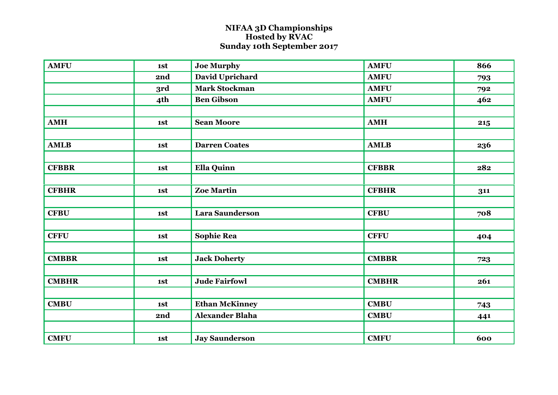## **NIFAA 3D Championships Hosted by RVAC Sunday 10th September 2017**

| <b>AMFU</b>  | 1st | <b>Joe Murphy</b>      | <b>AMFU</b>  | 866 |
|--------------|-----|------------------------|--------------|-----|
|              | 2nd | David Uprichard        | <b>AMFU</b>  | 793 |
|              | 3rd | <b>Mark Stockman</b>   | <b>AMFU</b>  | 792 |
|              | 4th | <b>Ben Gibson</b>      | <b>AMFU</b>  | 462 |
|              |     |                        |              |     |
| <b>AMH</b>   | 1st | <b>Sean Moore</b>      | <b>AMH</b>   | 215 |
|              |     |                        |              |     |
| <b>AMLB</b>  | 1st | <b>Darren Coates</b>   | <b>AMLB</b>  | 236 |
|              |     |                        |              |     |
| <b>CFBBR</b> | 1st | <b>Ella Quinn</b>      | <b>CFBBR</b> | 282 |
|              |     |                        |              |     |
| <b>CFBHR</b> | 1st | <b>Zoe Martin</b>      | <b>CFBHR</b> | 311 |
|              |     |                        |              |     |
| <b>CFBU</b>  | 1st | <b>Lara Saunderson</b> | <b>CFBU</b>  | 708 |
|              |     |                        |              |     |
| <b>CFFU</b>  | 1st | <b>Sophie Rea</b>      | <b>CFFU</b>  | 404 |
|              |     |                        |              |     |
| <b>CMBBR</b> | 1st | <b>Jack Doherty</b>    | <b>CMBBR</b> | 723 |
|              |     |                        |              |     |
| <b>CMBHR</b> | 1st | <b>Jude Fairfowl</b>   | <b>CMBHR</b> | 261 |
|              |     |                        |              |     |
| <b>CMBU</b>  | 1st | <b>Ethan McKinney</b>  | <b>CMBU</b>  | 743 |
|              | 2nd | <b>Alexander Blaha</b> | <b>CMBU</b>  | 441 |
|              |     |                        |              |     |
| <b>CMFU</b>  | 1st | <b>Jay Saunderson</b>  | <b>CMFU</b>  | 600 |